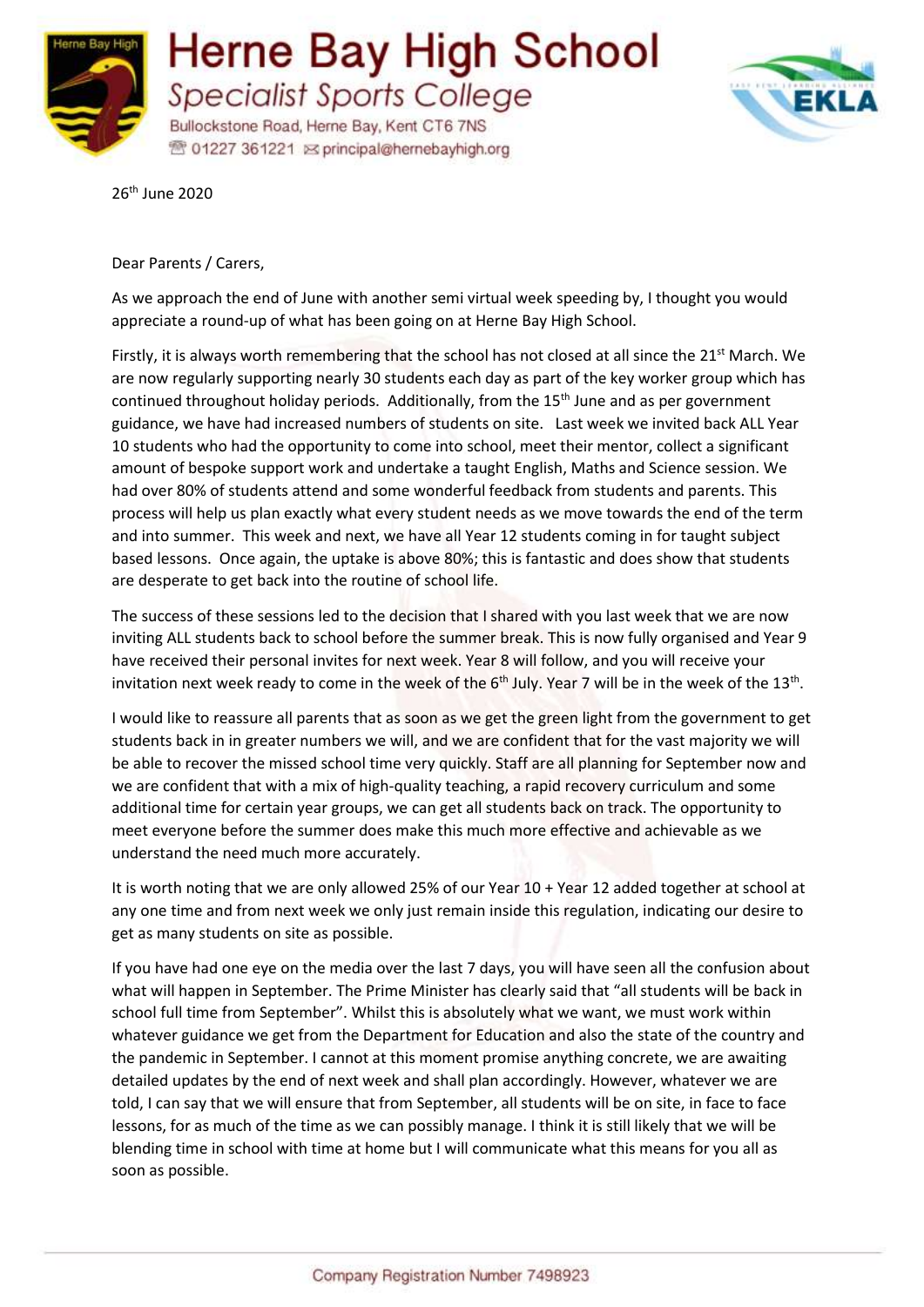



26th June 2020

Dear Parents / Carers,

As we approach the end of June with another semi virtual week speeding by, I thought you would appreciate a round-up of what has been going on at Herne Bay High School.

Firstly, it is always worth remembering that the school has not closed at all since the 21<sup>st</sup> March. We are now regularly supporting nearly 30 students each day as part of the key worker group which has continued throughout holiday periods. Additionally, from the 15<sup>th</sup> June and as per government guidance, we have had increased numbers of students on site. Last week we invited back ALL Year 10 students who had the opportunity to come into school, meet their mentor, collect a significant amount of bespoke support work and undertake a taught English, Maths and Science session. We had over 80% of students attend and some wonderful feedback from students and parents. This process will help us plan exactly what every student needs as we move towards the end of the term and into summer. This week and next, we have all Year 12 students coming in for taught subject based lessons. Once again, the uptake is above 80%; this is fantastic and does show that students are desperate to get back into the routine of school life.

The success of these sessions led to the decision that I shared with you last week that we are now inviting ALL students back to school before the summer break. This is now fully organised and Year 9 have received their personal invites for next week. Year 8 will follow, and you will receive your invitation next week ready to come in the week of the  $6<sup>th</sup>$  July. Year 7 will be in the week of the 13<sup>th</sup>.

I would like to reassure all parents that as soon as we get the green light from the government to get students back in in greater numbers we will, and we are confident that for the vast majority we will be able to recover the missed school time very quickly. Staff are all planning for September now and we are confident that with a mix of high-quality teaching, a rapid recovery curriculum and some additional time for certain year groups, we can get all students back on track. The opportunity to meet everyone before the summer does make this much more effective and achievable as we understand the need much more accurately.

It is worth noting that we are only allowed 25% of our Year 10 + Year 12 added together at school at any one time and from next week we only just remain inside this regulation, indicating our desire to get as many students on site as possible.

If you have had one eye on the media over the last 7 days, you will have seen all the confusion about what will happen in September. The Prime Minister has clearly said that "all students will be back in school full time from September". Whilst this is absolutely what we want, we must work within whatever guidance we get from the Department for Education and also the state of the country and the pandemic in September. I cannot at this moment promise anything concrete, we are awaiting detailed updates by the end of next week and shall plan accordingly. However, whatever we are told, I can say that we will ensure that from September, all students will be on site, in face to face lessons, for as much of the time as we can possibly manage. I think it is still likely that we will be blending time in school with time at home but I will communicate what this means for you all as soon as possible.